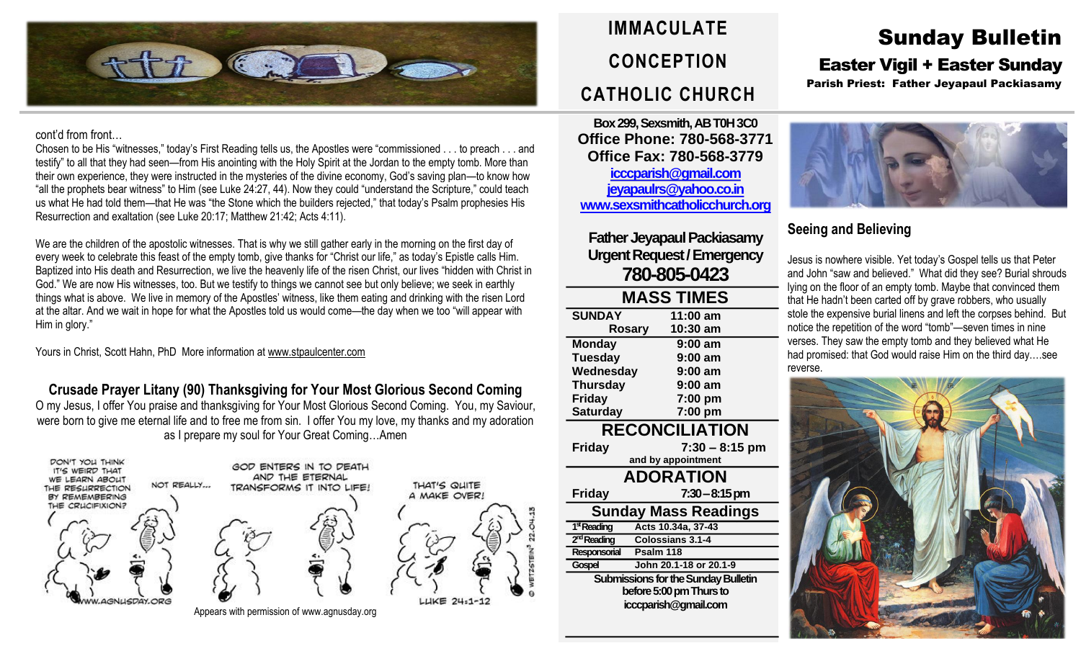

#### cont'd from front…

Chosen to be His "witnesses," today's First Reading tells us, the Apostles were "commissioned . . . to preach . . . and testify" to all that they had seen—from His anointing with the Holy Spirit at the Jordan to the empty tomb. More than their own experience, they were instructed in the mysteries of the divine economy, God's saving plan—to know how "all the prophets bear witness" to Him (see Luke 24:27, 44). Now they could "understand the Scripture," could teach us what He had told them—that He was "the Stone which the builders rejected," that today's Psalm prophesies His Resurrection and exaltation (see Luke 20:17; Matthew 21:42; Acts 4:11).

We are the children of the apostolic witnesses. That is why we still gather early in the morning on the first day of every week to celebrate this feast of the empty tomb, give thanks for "Christ our life," as today's Epistle calls Him. Baptized into His death and Resurrection, we live the heavenly life of the risen Christ, our lives "hidden with Christ in God." We are now His witnesses, too. But we testify to things we cannot see but only believe; we seek in earthly things what is above. We live in memory of the Apostles' witness, like them eating and drinking with the risen Lord at the altar. And we wait in hope for what the Apostles told us would come—the day when we too "will appear with Him in glory."

Yours in Christ, Scott Hahn, PhD More information a[t www.stpaulcenter.com](http://www.stpaulcenter.com/)

**Crusade Prayer Litany (90) Thanksgiving for Your Most Glorious Second Coming** O my Jesus, I offer You praise and thanksgiving for Your Most Glorious Second Coming. You, my Saviour, were born to give me eternal life and to free me from sin. I offer You my love, my thanks and my adoration as I prepare my soul for Your Great Coming…Amen



Appears with permission of www.agnusday.org

# **IMMACULATE CONCEPTION CATHOLIC CHURCH**

**Box 299, Sexsmith, AB T0H 3C0 Office Phone: 780-568-3771 Office Fax: 780-568-3779 [icccparish@gmail.com](mailto:icccparish@gmail.com) [jeyapaulrs@yahoo.co.in](mailto:jeyapaulrs@yahoo.co.in) [www.sexsmithcatholicchurch.org](http://www.sexsmithcatholicchurch.org/)**

**Father Jeyapaul Packiasamy Urgent Request/Emergency 780-805-0423**

| <b>MASS TIMES</b>                   |                        |  |  |  |  |
|-------------------------------------|------------------------|--|--|--|--|
| <b>SUNDAY</b>                       | 11:00 am               |  |  |  |  |
| <b>Rosary</b>                       | 10:30 am               |  |  |  |  |
| <b>Monday</b>                       | 9:00 am                |  |  |  |  |
| <b>Tuesday</b>                      | $9:00$ am              |  |  |  |  |
| Wednesday                           | $9:00$ am              |  |  |  |  |
| <b>Thursday</b>                     | $9:00$ am              |  |  |  |  |
| Friday                              | 7:00 pm                |  |  |  |  |
| <b>Saturday</b>                     | 7:00 pm                |  |  |  |  |
| <b>RECONCILIATION</b>               |                        |  |  |  |  |
| <b>Friday</b>                       | $7:30 - 8:15$ pm       |  |  |  |  |
|                                     | and by appointment     |  |  |  |  |
| <b>ADORATION</b>                    |                        |  |  |  |  |
| <b>Friday</b>                       | 7:30 – 8:15 pm         |  |  |  |  |
| <b>Sunday Mass Readings</b>         |                        |  |  |  |  |
| 1 <sup>st</sup> Reading             | Acts 10.34a, 37-43     |  |  |  |  |
| 2 <sup>nd</sup> Reading             | Colossians 3.1-4       |  |  |  |  |
| Responsorial                        | Psalm 118              |  |  |  |  |
| Gospel                              | John 20.1-18 or 20.1-9 |  |  |  |  |
| Submissions for the Sunday Bulletin |                        |  |  |  |  |
| before 5:00 pm Thurs to             |                        |  |  |  |  |
| icccparish@gmail.com                |                        |  |  |  |  |
|                                     |                        |  |  |  |  |

## Sunday Bulletin Easter Vigil + Easter Sunday

Parish Priest: Father Jeyapaul Packiasamy



### **Seeing and Believing**

Jesus is nowhere visible. Yet today's Gospel tells us that Peter and John "saw and believed." What did they see? Burial shrouds lying on the floor of an empty tomb. Maybe that convinced them that He hadn't been carted off by grave robbers, who usually stole the expensive burial linens and left the corpses behind. But notice the repetition of the word "tomb"—seven times in nine verses. They saw the empty tomb and they believed what He had promised: that God would raise Him on the third day.…see reverse.